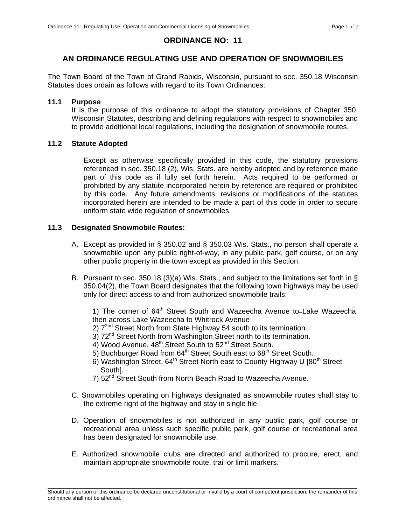## **ORDINANCE NO: 11**

# **AN ORDINANCE REGULATING USE AND OPERATION OF SNOWMOBILES**

The Town Board of the Town of Grand Rapids, Wisconsin, pursuant to sec. 350.18 Wisconsin Statutes does ordain as follows with regard to its Town Ordinances:

#### **11.1 Purpose**

It is the purpose of this ordinance to adopt the statutory provisions of Chapter 350, Wisconsin Statutes, describing and defining regulations with respect to snowmobiles and to provide additional local regulations, including the designation of snowmobile routes.

### **11.2 Statute Adopted**

Except as otherwise specifically provided in this code, the statutory provisions referenced in sec. 350.18 (2), Wis. Stats. are hereby adopted and by reference made part of this code as if fully set forth herein. Acts required to be performed or prohibited by any statute incorporated herein by reference are required or prohibited by this code. Any future amendments, revisions or modifications of the statutes incorporated herein are intended to be made a part of this code in order to secure uniform state wide regulation of snowmobiles.

### **11.3 Designated Snowmobile Routes:**

- A. Except as provided in § 350.02 and § 350.03 Wis. Stats., no person shall operate a snowmobile upon any public right-of-way, in any public park, golf course, or on any other public property in the town except as provided in this Section.
- B. Pursuant to sec. 350.18 (3)(a) Wis. Stats., and subject to the limitations set forth in § 350.04(2), the Town Board designates that the following town highways may be used only for direct access to and from authorized snowmobile trails:

1) The corner of 64<sup>th</sup> Street South and Wazeecha Avenue to-Lake Wazeecha. then across Lake Wazeecha to Whitrock Avenue

- 2)  $7^{2nd}$  Street North from State Highway 54 south to its termination.
- 3) 72<sup>nd</sup> Street North from Washington Street north to its termination.
- $4)$  Wood Avenue,  $48^{th}$  Street South to  $52^{nd}$  Street South.
- 5) Buchburger Road from  $64<sup>th</sup>$  Street South east to  $68<sup>th</sup>$  Street South.
- 6) Washington Street,  $64<sup>th</sup>$  Street North east to County Highway U  $[80<sup>th</sup>$  Street South].
- 7) 52<sup>nd</sup> Street South from North Beach Road to Wazeecha Avenue.
- C. Snowmobiles operating on highways designated as snowmobile routes shall stay to the extreme right of the highway and stay in single file.
- D. Operation of snowmobiles is not authorized in any public park, golf course or recreational area unless such specific public park, golf course or recreational area has been designated for snowmobile use.
- E. Authorized snowmobile clubs are directed and authorized to procure, erect, and maintain appropriate snowmobile route, trail or limit markers.

\_\_\_\_\_\_\_\_\_\_\_\_\_\_\_\_\_\_\_\_\_\_\_\_\_\_\_\_\_\_\_\_\_\_\_\_\_\_\_\_\_\_\_\_\_\_\_\_\_\_\_\_\_\_\_\_\_\_\_\_\_\_\_\_\_\_\_\_\_\_\_\_\_\_\_\_\_\_\_\_\_\_\_\_\_\_\_\_\_\_\_\_\_\_\_\_\_\_\_\_\_\_\_\_\_ Should any portion of this ordinance be declared unconstitutional or invalid by a court of competent jurisdiction, the remainder of this ordinance shall not be affected.